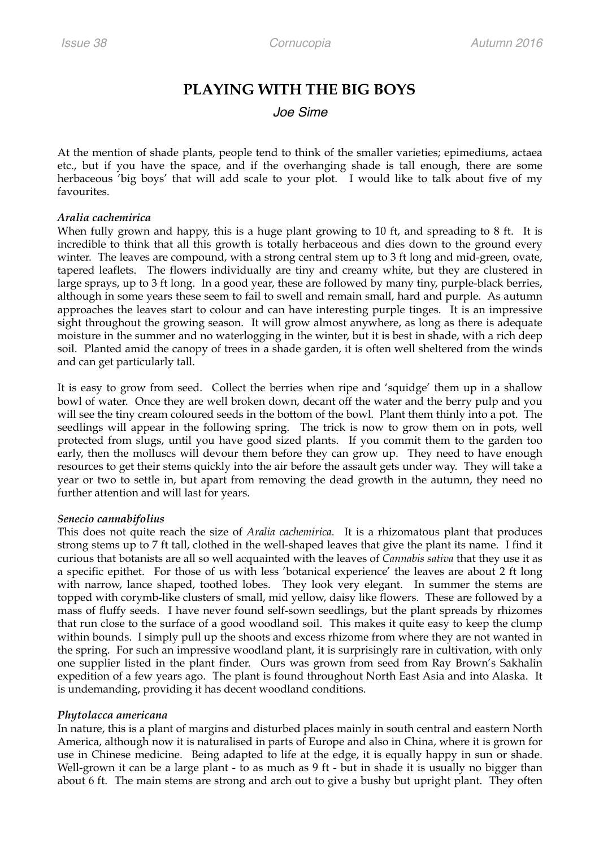# **PLAYING WITH THE BIG BOYS**

## *Joe Sime*

At the mention of shade plants, people tend to think of the smaller varieties; epimediums, actaea etc., but if you have the space, and if the overhanging shade is tall enough, there are some herbaceous 'big boys' that will add scale to your plot. I would like to talk about five of my favourites.

#### *Aralia cachemirica*

When fully grown and happy, this is a huge plant growing to 10 ft, and spreading to 8 ft. It is incredible to think that all this growth is totally herbaceous and dies down to the ground every winter. The leaves are compound, with a strong central stem up to 3 ft long and mid-green, ovate, tapered leaflets. The flowers individually are tiny and creamy white, but they are clustered in large sprays, up to 3 ft long. In a good year, these are followed by many tiny, purple-black berries, although in some years these seem to fail to swell and remain small, hard and purple. As autumn approaches the leaves start to colour and can have interesting purple tinges. It is an impressive sight throughout the growing season. It will grow almost anywhere, as long as there is adequate moisture in the summer and no waterlogging in the winter, but it is best in shade, with a rich deep soil. Planted amid the canopy of trees in a shade garden, it is often well sheltered from the winds and can get particularly tall.

It is easy to grow from seed. Collect the berries when ripe and 'squidge' them up in a shallow bowl of water. Once they are well broken down, decant off the water and the berry pulp and you will see the tiny cream coloured seeds in the bottom of the bowl. Plant them thinly into a pot. The seedlings will appear in the following spring. The trick is now to grow them on in pots, well protected from slugs, until you have good sized plants. If you commit them to the garden too early, then the molluscs will devour them before they can grow up. They need to have enough resources to get their stems quickly into the air before the assault gets under way. They will take a year or two to settle in, but apart from removing the dead growth in the autumn, they need no further attention and will last for years.

### *Senecio cannabifolius*

This does not quite reach the size of *Aralia cachemirica*. It is a rhizomatous plant that produces strong stems up to 7 ft tall, clothed in the well-shaped leaves that give the plant its name. I find it curious that botanists are all so well acquainted with the leaves of *Cannabis sativa* that they use it as a specific epithet. For those of us with less 'botanical experience' the leaves are about 2 ft long with narrow, lance shaped, toothed lobes. They look very elegant. In summer the stems are topped with corymb-like clusters of small, mid yellow, daisy like flowers. These are followed by a mass of fluffy seeds. I have never found self-sown seedlings, but the plant spreads by rhizomes that run close to the surface of a good woodland soil. This makes it quite easy to keep the clump within bounds. I simply pull up the shoots and excess rhizome from where they are not wanted in the spring. For such an impressive woodland plant, it is surprisingly rare in cultivation, with only one supplier listed in the plant finder. Ours was grown from seed from Ray Brown's Sakhalin expedition of a few years ago. The plant is found throughout North East Asia and into Alaska. It is undemanding, providing it has decent woodland conditions.

### *Phytolacca americana*

In nature, this is a plant of margins and disturbed places mainly in south central and eastern North America, although now it is naturalised in parts of Europe and also in China, where it is grown for use in Chinese medicine. Being adapted to life at the edge, it is equally happy in sun or shade. Well-grown it can be a large plant - to as much as 9 ft - but in shade it is usually no bigger than about 6 ft. The main stems are strong and arch out to give a bushy but upright plant. They often